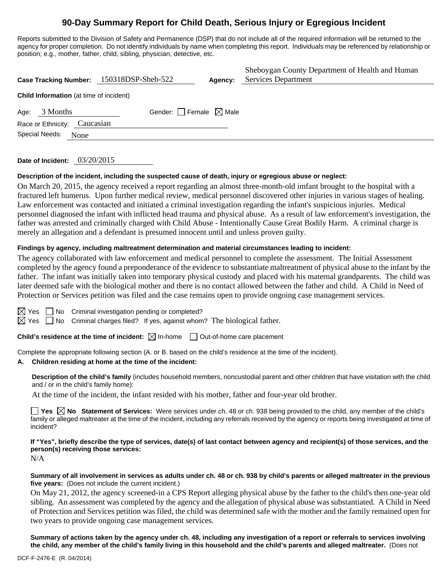## **90-Day Summary Report for Child Death, Serious Injury or Egregious Incident**

Reports submitted to the Division of Safety and Permanence (DSP) that do not include all of the required information will be returned to the agency for proper completion. Do not identify individuals by name when completing this report. Individuals may be referenced by relationship or position; e.g., mother, father, child, sibling, physician, detective, etc.

|                                                |                              | Case Tracking Number: 150318DSP-Sheb-522 | Agency: | Sheboygan County Department of Health and Human<br>Services Department |  |  |  |  |
|------------------------------------------------|------------------------------|------------------------------------------|---------|------------------------------------------------------------------------|--|--|--|--|
| <b>Child Information</b> (at time of incident) |                              |                                          |         |                                                                        |  |  |  |  |
| Age:                                           | 3 Months                     | Gender: Female $\boxtimes$ Male          |         |                                                                        |  |  |  |  |
|                                                | Race or Ethnicity: Caucasian |                                          |         |                                                                        |  |  |  |  |
|                                                | Special Needs:<br>None       |                                          |         |                                                                        |  |  |  |  |

#### **Date of Incident:** 03/20/2015

#### **Description of the incident, including the suspected cause of death, injury or egregious abuse or neglect:**

On March 20, 2015, the agency received a report regarding an almost three-month-old imfant brought to the hospital with a fractured left humerus. Upon further medical review, medical personnel discovered other injuries in various stages of healing. Law enforcement was contacted and initiated a criminal investigation regarding the infant's suspicious injuries. Medical personnel diagnosed the infant with inflicted head trauma and physical abuse. As a result of law enforcement's investigation, the father was arrested and criminally charged with Child Abuse - Intentionally Cause Great Bodily Harm. A criminal charge is merely an allegation and a defendant is presumed innocent until and unless proven guilty.

#### **Findings by agency, including maltreatment determination and material circumstances leading to incident:**

The agency collaborated with law enforcement and medical personnel to complete the assessment. The Initial Assessment completed by the agency found a preponderance of the evidence to substantiate maltreatment of physical abuse to the infant by the father. The infant was initially taken into temporary physical custody and placed with his maternal grandparents. The child was later deemed safe with the biological mother and there is no contact allowed between the father and child. A Child in Need of Protection or Services petition was filed and the case remains open to provide ongoing case management services.

 $\boxtimes$  Yes  $\Box$  No Criminal investigation pending or completed?

 $\boxtimes$  Yes  $\Box$  No Criminal charges filed? If yes, against whom? The biological father.

**Child's residence at the time of incident:** ⊠ In-home □ Out-of-home care placement

Complete the appropriate following section (A. or B. based on the child's residence at the time of the incident).

#### **A. Children residing at home at the time of the incident:**

**Description of the child's family** (includes household members, noncustodial parent and other children that have visitation with the child and / or in the child's family home):

At the time of the incident, the infant resided with his mother, father and four-year old brother.

**T** Yes  $\boxtimes$  No Statement of Services: Were services under ch. 48 or ch. 938 being provided to the child, any member of the child's family or alleged maltreater at the time of the incident, including any referrals received by the agency or reports being investigated at time of incident?

**If "Yes", briefly describe the type of services, date(s) of last contact between agency and recipient(s) of those services, and the person(s) receiving those services:** 

N/A

#### **Summary of all involvement in services as adults under ch. 48 or ch. 938 by child's parents or alleged maltreater in the previous five years:** (Does not include the current incident.)

On May 21, 2012, the agency screened-in a CPS Report alleging physical abuse by the father to the child's then one-year old sibling. An assessment was completed by the agency and the allegation of physical abuse was substantiated. A Child in Need of Protection and Services petition was filed, the child was determined safe with the mother and the family remained open for two years to provide ongoing case management services.

**Summary of actions taken by the agency under ch. 48, including any investigation of a report or referrals to services involving the child, any member of the child's family living in this household and the child's parents and alleged maltreater.** (Does not